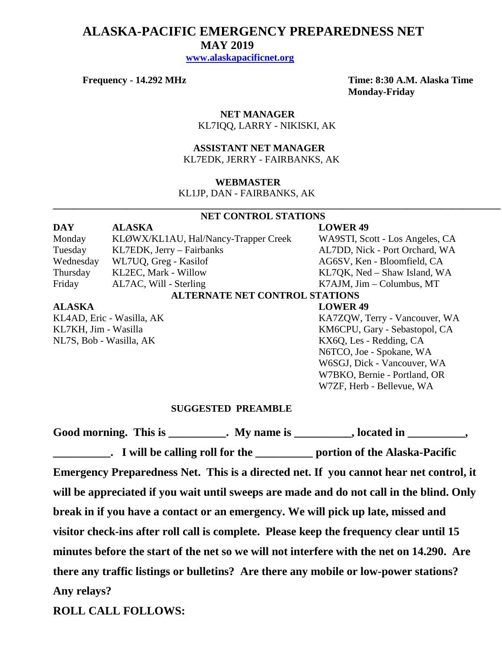# **ALASKA-PACIFIC EMERGENCY PREPAREDNESS NET MAY 2019 [www.alaskapacificnet.org](http://www.alaskapacificnet.org/)**

**Frequency - 14.292 MHz Time: 8:30 A.M. Alaska Time Monday-Friday**

> **NET MANAGER** KL7IQQ, LARRY - NIKISKI, AK

 **ASSISTANT NET MANAGER**  KL7EDK, JERRY - FAIRBANKS, AK

### **WEBMASTER**

KL1JP, DAN - FAIRBANKS, AK

### **NET CONTROL STATIONS**

**\_\_\_\_\_\_\_\_\_\_\_\_\_\_\_\_\_\_\_\_\_\_\_\_\_\_\_\_\_\_\_\_\_\_\_\_\_\_\_\_\_\_\_\_\_\_\_\_\_\_\_\_\_\_\_\_\_\_\_\_\_\_\_\_\_\_\_\_\_\_\_\_\_\_\_\_\_\_\_\_\_\_\_\_\_\_\_\_\_\_\_**

## **DAY ALASKA LOWER 49** Monday KLØWX/KL1AU, Hal/Nancy-Trapper Creek WA9STI, Scott - Los Angeles, CA Tuesday KL7EDK, Jerry – Fairbanks AL7DD, Nick - Port Orchard, WA Wednesday WL7UQ, Greg - Kasilof AG6SV, Ken - Bloomfield, CA Thursday KL2EC, Mark - Willow KL7QK, Ned – Shaw Island, WA Friday AL7AC, Will - Sterling K7AJM, Jim – Columbus, MT **ALTERNATE NET CONTROL STATIONS ALASKA LOWER 49**

NL7S, Bob - Wasilla, AK KX6Q, Les - Redding, CA

KL4AD, Eric - Wasilla, AK KA7ZQW, Terry - Vancouver, WA KL7KH, Jim - Wasilla KM6CPU, Gary - Sebastopol, CA N6TCO, Joe - Spokane, WA W6SGJ, Dick - Vancouver, WA W7BKO, Bernie - Portland, OR W7ZF, Herb - Bellevue, WA

#### **SUGGESTED PREAMBLE**

Good morning. This is \_\_\_\_\_\_\_\_\_\_. My name is \_\_\_\_\_\_\_\_\_, located in \_\_\_\_\_\_\_\_\_, **Lacks** Fig. 1 will be calling roll for the <u>contract of</u> portion of the Alaska-Pacific **Emergency Preparedness Net. This is a directed net. If you cannot hear net control, it will be appreciated if you wait until sweeps are made and do not call in the blind. Only break in if you have a contact or an emergency. We will pick up late, missed and visitor check-ins after roll call is complete. Please keep the frequency clear until 15 minutes before the start of the net so we will not interfere with the net on 14.290. Are there any traffic listings or bulletins? Are there any mobile or low-power stations? Any relays?** 

**ROLL CALL FOLLOWS:**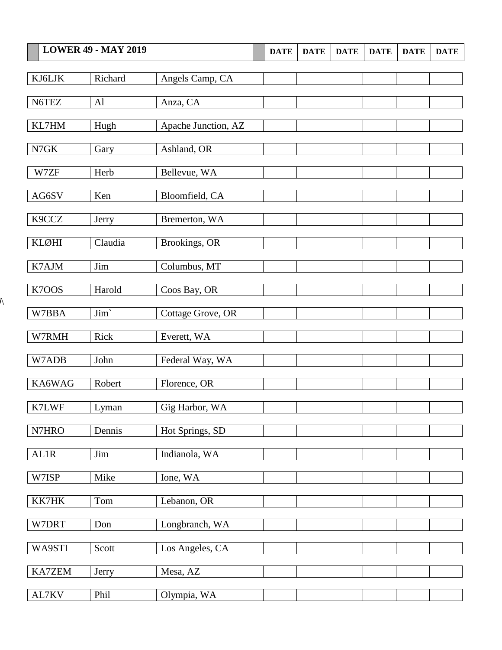|                  | <b>LOWER 49 - MAY 2019</b> |                     | <b>DATE</b> | <b>DATE</b> | <b>DATE</b> | <b>DATE</b> | <b>DATE</b> | <b>DATE</b> |
|------------------|----------------------------|---------------------|-------------|-------------|-------------|-------------|-------------|-------------|
|                  |                            |                     |             |             |             |             |             |             |
| KJ6LJK           | Richard                    | Angels Camp, CA     |             |             |             |             |             |             |
| N6TEZ            | A1                         | Anza, CA            |             |             |             |             |             |             |
| KL7HM            |                            |                     |             |             |             |             |             |             |
|                  | Hugh                       | Apache Junction, AZ |             |             |             |             |             |             |
| N7GK             | Gary                       | Ashland, OR         |             |             |             |             |             |             |
| W7ZF             | Herb                       | Bellevue, WA        |             |             |             |             |             |             |
|                  |                            |                     |             |             |             |             |             |             |
| AG6SV            | Ken                        | Bloomfield, CA      |             |             |             |             |             |             |
| K9CCZ            | Jerry                      | Bremerton, WA       |             |             |             |             |             |             |
| <b>KLØHI</b>     | Claudia                    | Brookings, OR       |             |             |             |             |             |             |
|                  |                            |                     |             |             |             |             |             |             |
| K7AJM            | Jim                        | Columbus, MT        |             |             |             |             |             |             |
| K7OOS            | Harold                     | Coos Bay, OR        |             |             |             |             |             |             |
| W7BBA            | Jim'                       | Cottage Grove, OR   |             |             |             |             |             |             |
|                  |                            |                     |             |             |             |             |             |             |
| W7RMH            | Rick                       | Everett, WA         |             |             |             |             |             |             |
| W7ADB            | John                       | Federal Way, WA     |             |             |             |             |             |             |
| KA6WAG           | Robert                     | Florence, OR        |             |             |             |             |             |             |
|                  |                            |                     |             |             |             |             |             |             |
| K7LWF            | Lyman                      | Gig Harbor, WA      |             |             |             |             |             |             |
| N7HRO            | Dennis                     | Hot Springs, SD     |             |             |             |             |             |             |
|                  |                            |                     |             |             |             |             |             |             |
| AL1R             | Jim                        | Indianola, WA       |             |             |             |             |             |             |
| W7ISP            | Mike                       | Ione, WA            |             |             |             |             |             |             |
| KK7HK            | Tom                        | Lebanon, OR         |             |             |             |             |             |             |
|                  |                            |                     |             |             |             |             |             |             |
| W7DRT            | Don                        | Longbranch, WA      |             |             |             |             |             |             |
| WA9STI           | Scott                      | Los Angeles, CA     |             |             |             |             |             |             |
|                  |                            |                     |             |             |             |             |             |             |
| KA7ZEM           | Jerry                      | Mesa, AZ            |             |             |             |             |             |             |
| $\text{AL7KV}{}$ | Phil                       | Olympia, WA         |             |             |             |             |             |             |

 $\overline{\mathcal{N}}$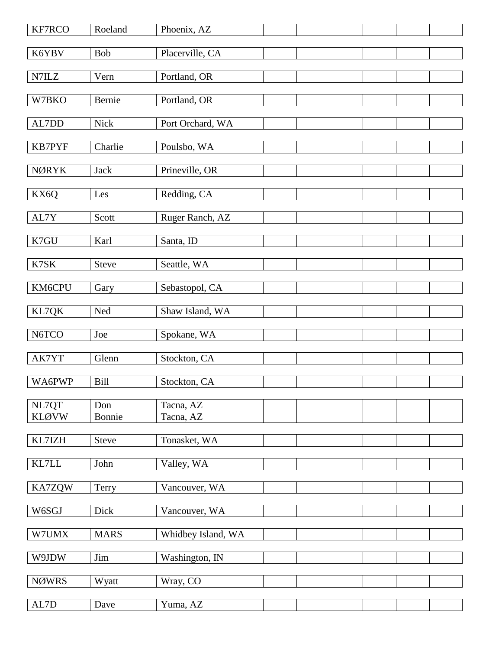| KF7RCO         | Roeland      | Phoenix, AZ        |  |  |  |
|----------------|--------------|--------------------|--|--|--|
| K6YBV          | Bob          | Placerville, CA    |  |  |  |
| N7ILZ          | Vern         | Portland, OR       |  |  |  |
| W7BKO          | Bernie       | Portland, OR       |  |  |  |
|                |              |                    |  |  |  |
| AL7DD          | <b>Nick</b>  | Port Orchard, WA   |  |  |  |
| KB7PYF         | Charlie      | Poulsbo, WA        |  |  |  |
| <b>NØRYK</b>   | Jack         | Prineville, OR     |  |  |  |
| KX6Q           | Les          | Redding, CA        |  |  |  |
| AL7Y           | Scott        | Ruger Ranch, AZ    |  |  |  |
| K7GU           | Karl         | Santa, ID          |  |  |  |
| K7SK           | <b>Steve</b> | Seattle, WA        |  |  |  |
|                |              |                    |  |  |  |
| KM6CPU         | Gary         | Sebastopol, CA     |  |  |  |
| KL7QK          | Ned          | Shaw Island, WA    |  |  |  |
| N6TCO          | Joe          | Spokane, WA        |  |  |  |
| AK7YT          | Glenn        | Stockton, CA       |  |  |  |
| WA6PWP         | <b>Bill</b>  | Stockton, CA       |  |  |  |
| NL7QT          | Don          | Tacna, AZ          |  |  |  |
| <b>KLØVW</b>   | Bonnie       | Tacna, AZ          |  |  |  |
| KL7IZH         | <b>Steve</b> | Tonasket, WA       |  |  |  |
| $\text{KL7LL}$ | John         | Valley, WA         |  |  |  |
| KA7ZQW         | Terry        | Vancouver, WA      |  |  |  |
| W6SGJ          | Dick         | Vancouver, WA      |  |  |  |
| W7UMX          | <b>MARS</b>  | Whidbey Island, WA |  |  |  |
| W9JDW          | Jim          | Washington, IN     |  |  |  |
| <b>NØWRS</b>   | Wyatt        | Wray, CO           |  |  |  |
| $\mbox{AL7D}$  | Dave         | Yuma, AZ           |  |  |  |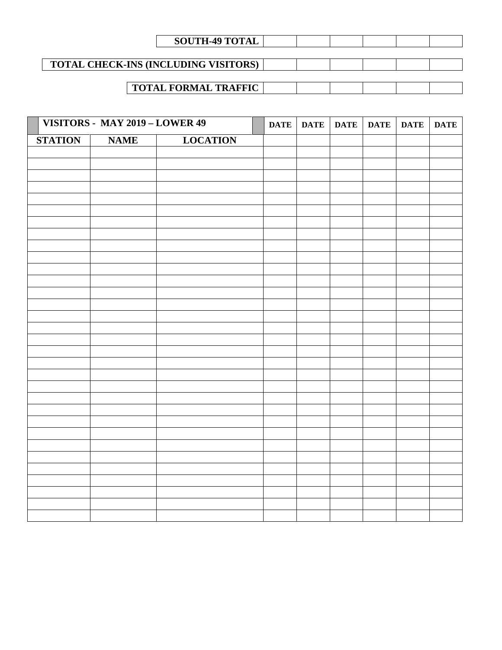| <b>SOUTH-49 TOTAL</b>                       |  |  |  |
|---------------------------------------------|--|--|--|
|                                             |  |  |  |
| <b>TOTAL CHECK-INS (INCLUDING VISITORS)</b> |  |  |  |
|                                             |  |  |  |
| <b>TOTAL FORMAL TRAFFIC</b>                 |  |  |  |

| VISITORS - MAY 2019 - LOWER 49<br>Γ |             | <b>DATE</b>     | DATE | <b>DATE</b> | <b>DATE</b> | <b>DATE</b> | <b>DATE</b> |  |
|-------------------------------------|-------------|-----------------|------|-------------|-------------|-------------|-------------|--|
| <b>STATION</b>                      | <b>NAME</b> | <b>LOCATION</b> |      |             |             |             |             |  |
|                                     |             |                 |      |             |             |             |             |  |
|                                     |             |                 |      |             |             |             |             |  |
|                                     |             |                 |      |             |             |             |             |  |
|                                     |             |                 |      |             |             |             |             |  |
|                                     |             |                 |      |             |             |             |             |  |
|                                     |             |                 |      |             |             |             |             |  |
|                                     |             |                 |      |             |             |             |             |  |
|                                     |             |                 |      |             |             |             |             |  |
|                                     |             |                 |      |             |             |             |             |  |
|                                     |             |                 |      |             |             |             |             |  |
|                                     |             |                 |      |             |             |             |             |  |
|                                     |             |                 |      |             |             |             |             |  |
|                                     |             |                 |      |             |             |             |             |  |
|                                     |             |                 |      |             |             |             |             |  |
|                                     |             |                 |      |             |             |             |             |  |
|                                     |             |                 |      |             |             |             |             |  |
|                                     |             |                 |      |             |             |             |             |  |
|                                     |             |                 |      |             |             |             |             |  |
|                                     |             |                 |      |             |             |             |             |  |
|                                     |             |                 |      |             |             |             |             |  |
|                                     |             |                 |      |             |             |             |             |  |
|                                     |             |                 |      |             |             |             |             |  |
|                                     |             |                 |      |             |             |             |             |  |
|                                     |             |                 |      |             |             |             |             |  |
|                                     |             |                 |      |             |             |             |             |  |
|                                     |             |                 |      |             |             |             |             |  |
|                                     |             |                 |      |             |             |             |             |  |
|                                     |             |                 |      |             |             |             |             |  |
|                                     |             |                 |      |             |             |             |             |  |
|                                     |             |                 |      |             |             |             |             |  |
|                                     |             |                 |      |             |             |             |             |  |
|                                     |             |                 |      |             |             |             |             |  |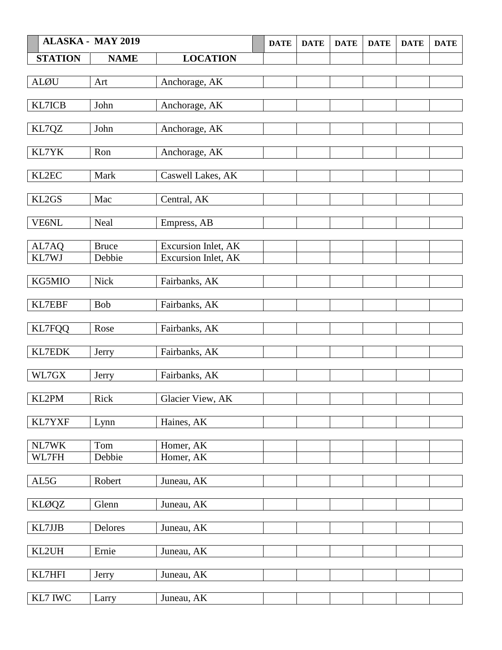|                | <b>ALASKA - MAY 2019</b> |                     | <b>DATE</b> | <b>DATE</b> | <b>DATE</b> | <b>DATE</b> | <b>DATE</b> | <b>DATE</b> |
|----------------|--------------------------|---------------------|-------------|-------------|-------------|-------------|-------------|-------------|
| <b>STATION</b> | <b>NAME</b>              | <b>LOCATION</b>     |             |             |             |             |             |             |
|                |                          |                     |             |             |             |             |             |             |
| <b>ALØU</b>    | Art                      | Anchorage, AK       |             |             |             |             |             |             |
|                |                          |                     |             |             |             |             |             |             |
| KL7ICB         | John                     | Anchorage, AK       |             |             |             |             |             |             |
| KL7QZ          | John                     | Anchorage, AK       |             |             |             |             |             |             |
|                |                          |                     |             |             |             |             |             |             |
| KL7YK          | Ron                      | Anchorage, AK       |             |             |             |             |             |             |
|                |                          |                     |             |             |             |             |             |             |
| KL2EC          | Mark                     | Caswell Lakes, AK   |             |             |             |             |             |             |
| KL2GS          | Mac                      | Central, AK         |             |             |             |             |             |             |
|                |                          |                     |             |             |             |             |             |             |
| VE6NL          | Neal                     | Empress, AB         |             |             |             |             |             |             |
|                |                          |                     |             |             |             |             |             |             |
| AL7AQ          | <b>Bruce</b>             | Excursion Inlet, AK |             |             |             |             |             |             |
| KL7WJ          | Debbie                   | Excursion Inlet, AK |             |             |             |             |             |             |
|                |                          |                     |             |             |             |             |             |             |
| KG5MIO         | Nick                     | Fairbanks, AK       |             |             |             |             |             |             |
| KL7EBF         | <b>Bob</b>               | Fairbanks, AK       |             |             |             |             |             |             |
|                |                          |                     |             |             |             |             |             |             |
| <b>KL7FQQ</b>  | Rose                     | Fairbanks, AK       |             |             |             |             |             |             |
|                |                          |                     |             |             |             |             |             |             |
| KL7EDK         | Jerry                    | Fairbanks, AK       |             |             |             |             |             |             |
| $\rm W L7GX$   | Jerry                    | Fairbanks, AK       |             |             |             |             |             |             |
|                |                          |                     |             |             |             |             |             |             |
| KL2PM          | Rick                     | Glacier View, AK    |             |             |             |             |             |             |
|                |                          |                     |             |             |             |             |             |             |
| KL7YXF         | Lynn                     | Haines, AK          |             |             |             |             |             |             |
|                |                          |                     |             |             |             |             |             |             |
| NL7WK          | Tom                      | Homer, AK           |             |             |             |             |             |             |
| WL7FH          | Debbie                   | Homer, AK           |             |             |             |             |             |             |
| AL5G           | Robert                   | Juneau, AK          |             |             |             |             |             |             |
|                |                          |                     |             |             |             |             |             |             |
| <b>KLØQZ</b>   | Glenn                    | Juneau, AK          |             |             |             |             |             |             |
|                |                          |                     |             |             |             |             |             |             |
| KL7JJB         | Delores                  | Juneau, AK          |             |             |             |             |             |             |
|                |                          |                     |             |             |             |             |             |             |
| KL2UH          | Ernie                    | Juneau, AK          |             |             |             |             |             |             |
| KL7HFI         | Jerry                    | Juneau, AK          |             |             |             |             |             |             |
|                |                          |                     |             |             |             |             |             |             |
| KL7 IWC        | Larry                    | Juneau, AK          |             |             |             |             |             |             |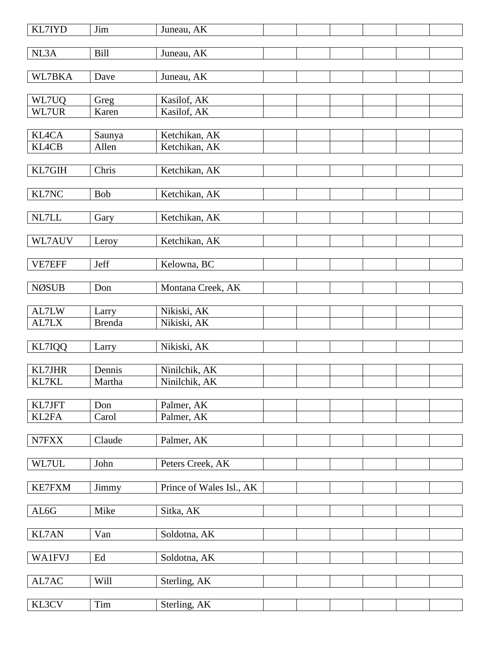| <b>KL7IYD</b>   | Jim           | Juneau, AK               |  |
|-----------------|---------------|--------------------------|--|
| NL3A            | <b>Bill</b>   | Juneau, AK               |  |
| WL7BKA          | Dave          | Juneau, AK               |  |
|                 |               |                          |  |
| WL7UQ           | Greg          | Kasilof, AK              |  |
| WL7UR           | Karen         | Kasilof, AK              |  |
| <b>KL4CA</b>    | Saunya        | Ketchikan, AK            |  |
| <b>KL4CB</b>    | Allen         | Ketchikan, AK            |  |
|                 |               |                          |  |
| KL7GIH          | Chris         | Ketchikan, AK            |  |
|                 |               |                          |  |
| KL7NC           | Bob           | Ketchikan, AK            |  |
| NL7LL           | Gary          | Ketchikan, AK            |  |
|                 |               |                          |  |
| WL7AUV          | Leroy         | Ketchikan, AK            |  |
|                 |               |                          |  |
| VE7EFF          | Jeff          | Kelowna, BC              |  |
| <b>NØSUB</b>    | Don           | Montana Creek, AK        |  |
|                 |               |                          |  |
| AL7LW           | Larry         | Nikiski, AK              |  |
| AL7LX           | <b>Brenda</b> | Nikiski, AK              |  |
| KL7IQQ          | Larry         | Nikiski, AK              |  |
|                 |               |                          |  |
| <b>KL7JHR</b>   | Dennis        | Ninilchik, AK            |  |
| KL7KL           | Martha        | Ninilchik, AK            |  |
|                 |               |                          |  |
| KL7JFT<br>KL2FA | Don<br>Carol  | Palmer, AK<br>Palmer, AK |  |
|                 |               |                          |  |
| N7FXX           | Claude        | Palmer, AK               |  |
|                 |               |                          |  |
| WL7UL           | John          | Peters Creek, AK         |  |
| <b>KE7FXM</b>   | Jimmy         | Prince of Wales Isl., AK |  |
|                 |               |                          |  |
| AL6G            | Mike          | Sitka, AK                |  |
|                 |               |                          |  |
| KL7AN           | Van           | Soldotna, AK             |  |
|                 |               |                          |  |
| <b>WA1FVJ</b>   | Ed            | Soldotna, AK             |  |
| AL7AC           | Will          | Sterling, AK             |  |
|                 |               |                          |  |
| KL3CV           | Tim           | Sterling, AK             |  |